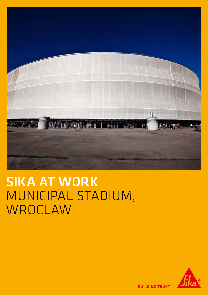

# SIKA AT WORK MUNICIPAL STADIUM, WROCLAW



**BUILDING TRUST**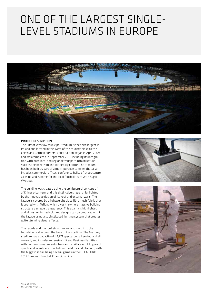### ONE OF THE LARGEST SINGLE-LEVEL STADIUMS IN EUROPE



#### PROJECT DESCRIPTION

The City of Wroclaw Municipal Stadium is the third largest in Poland and located in the West of the country, close to the Czech and German borders. Construction began in April 2009 and was completed in September 2011, including its integration with both local and regional transport infrastructure, such as the new tram line to the City Centre. The stadium has been built as part of a multi-purpose complex that also includes commercial offices, conference halls, a fitness centre, a casino and is home for the local football team WSK Śląsk **Wroclaw** 

The building was created using the architectural concept of a 'Chinese-Lantern' and this distinctive shape is highlighted by the innovative design of its roof and external walls. The facade is covered by a lightweight glass fibre mesh fabric that is coated with Teflon, which gives the whole massive building structure a unique transparency. This quality is highlighted and almost unlimited coloured designs can be produced within the façade using a sophisticated lighting system that creates quite stunning visual effects.

The façade and the roof structure are anchored into the foundations all around the base of the stadium. The 6-storey stadium has a capacity of 42,771 spectators, all seated and all covered, and includes extensive VIP and Business Facilities, with numerous restaurants, bars and retail areas. All types of sports and events are now held in the Municipal Stadium, with the biggest so far, being several games in the UEFA EURO 2012 European Football Championships.



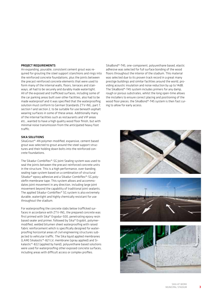#### PROJECT REQUIREMENTS

An expanding, pourable, consistent cement grout was required for grouting the steel support stanchions and rings into the reinforced concrete foundations, plus the joints between the precast reinforced concrete elements that were used to form many of the internal walls, floors, terraces and stairways, all had to be securely and durably made watertight. All of the exposed and trafficked surfaces, including some of the car parking areas built over other facilities, also had to be made waterproof and it was specified that the waterproofing solution must conform to German Standards ZTV-ING, part 7, section 1 and section 2, to be suitable for use beneath asphalt wearing surfaces in some of these areas. Additionally many of the internal facilities such as restaurants and VIP areas etc., wanted to have a high quality wood floor finish, but with minimal noise transmission from the anticipated heavy foot traffic.

#### SIKA SOLUTIONS

SikaGrout®-4N polymer-modified, expansive, cement based grout was selected to grout around the steel support structures and their holding down bolts into the reinforced concrete foundations.

The Sikadur-Combiflex®-SG Joint Sealing system was used to seal the joints between the precast reinforced concrete units in the structure. This is a high performance, over-banding, sealing tape system based on a combination of structural Sikadur® epoxy adhesive and a Sikadur-Combiflex®-SG polyolefin membrane tape. This system allows and accommodates joint movement in any direction, including large joint movement beyond the capability of traditional joint sealants. The applied Sikadur-Combiflex® SG system is also extremely durable, watertight and highly chemically resistant for use throughout the stadium.

For waterproofing the concrete slabs below trafficked surfaces in accordance with ZTV-ING, the prepared concrete was first primed with Sika® Ergodur-500, penetrating epoxy resin based sealer and primer, followed by Sika® Ergobit, polymermodified, welded bitumen sheet waterproofing with raised fabric reinforcement which is specifically designed for waterproofing horizontal areas of civil engineering structures subjected to vehicular traffic. The Sika liquid applied membranes (LAM) Sikalastic®-821 LV, membrane (spray applied) and Sikalastic®-822 (applied by hand), polyurethane based solutions were used for waterproofing other exposed concrete surfaces, including areas with difficult access or complex profiles.

SikaBond®-T45, one-component, polyurethane based, elastic adhesive was selected for full surface bonding of the wood floors throughout the interior of the stadium. This material was selected due to its proven track record in a great many prestige buildings and similar facilities around the world, providing acoustic insulation and noise reduction by up to 14dB. The SikaBond®-T45 system includes primers for any damp, rough or porous substrates, whilst the long open-time allows the installers to ensure correct placing and positioning of the wood floor pieces; the SikaBond®-T45 system is then fast curing to allow for early access.







3